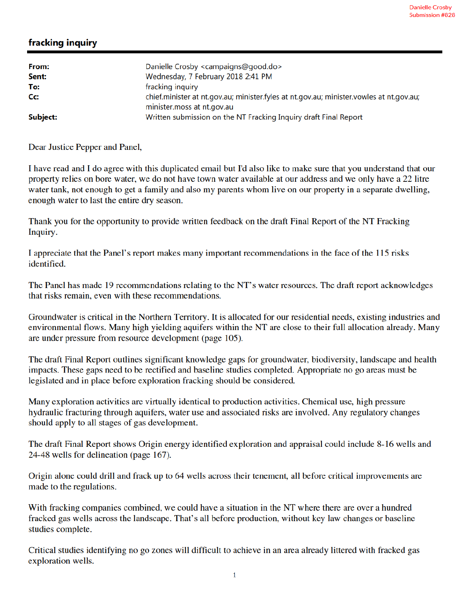## fracking inquiry

| From:    | Danielle Crosby <campaigns@good.do></campaigns@good.do>                                        |
|----------|------------------------------------------------------------------------------------------------|
| Sent:    | Wednesday, 7 February 2018 2:41 PM                                                             |
| To:      | fracking inquiry                                                                               |
| Cc:      | chief.minister at nt.gov.au; minister.fyles at nt.gov.au; minister.vowles at nt.gov.au;        |
| Subject: | minister.moss at nt.gov.au<br>Written submission on the NT Fracking Inquiry draft Final Report |

Dear Justice Pepper and Panel,

I have read and I do agree with this duplicated email but I'd also like to make sure that you understand that our property relies on bore water, we do not have town water available at our address and we only have a 22 litre water tank, not enough to get a family and also my parents whom live on our property in a separate dwelling, enough water to last the entire dry season.

Thank you for the opportunity to provide written feedback on the draft Final Report of the NT Fracking Inquiry.

I appreciate that the Panel's report makes many important recommendations in the face of the 115 risks identified.

The Panel has made 19 recommendations relating to the NT's water resources. The draft report acknowledges that risks remain, even with these recommendations.

Groundwater is critical in the Northern Territory. It is allocated for our residential needs, existing industries and environmental flows. Many high yielding aquifers within the NT are close to their full allocation already. Many are under pressure from resource development (page 105).

The draft Final Report outlines significant knowledge gaps for groundwater, biodiversity, landscape and health impacts. These gaps need to be rectified and baseline studies completed. Appropriate no go areas must be legislated and in place before exploration fracking should be considered.

Many exploration activities are virtually identical to production activities. Chemical use, high pressure hydraulic fracturing through aquifers, water use and associated risks are involved. Any regulatory changes should apply to all stages of gas development.

The draft Final Report shows Origin energy identified exploration and appraisal could include 8-16 wells and 24-48 wells for delineation (page 167).

Origin alone could drill and frack up to 64 wells across their tenement, all before critical improvements are made to the regulations.

With fracking companies combined, we could have a situation in the NT where there are over a hundred fracked gas wells across the landscape. That's all before production, without key law changes or baseline studies complete.

Critical studies identifying no go zones will difficult to achieve in an area already littered with fracked gas exploration wells.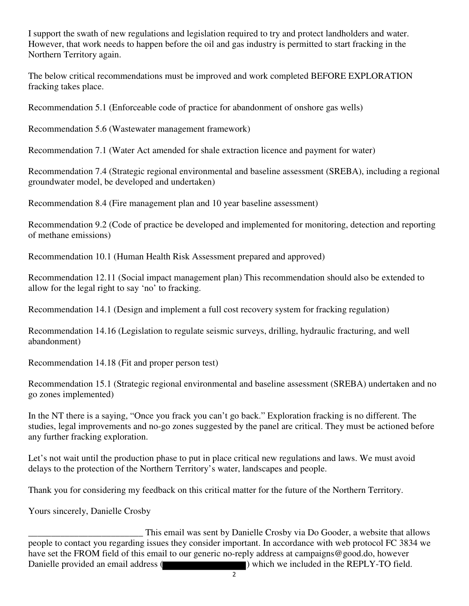I support the swath of new regulations and legislation required to try and protect landholders and water. However, that work needs to happen before the oil and gas industry is permitted to start fracking in the Northern Territory again.

The below critical recommendations must be improved and work completed BEFORE EXPLORATION fracking takes place.

Recommendation 5.1 (Enforceable code of practice for abandonment of onshore gas wells)

Recommendation 5.6 (Wastewater management framework)

Recommendation 7.1 (Water Act amended for shale extraction licence and payment for water)

Recommendation 7.4 (Strategic regional environmental and baseline assessment (SREBA), including a regional groundwater model, be developed and undertaken)

Recommendation 8.4 (Fire management plan and 10 year baseline assessment)

Recommendation 9.2 (Code of practice be developed and implemented for monitoring, detection and reporting of methane emissions)

Recommendation 10.1 (Human Health Risk Assessment prepared and approved)

Recommendation 12.11 (Social impact management plan) This recommendation should also be extended to allow for the legal right to say 'no' to fracking.

Recommendation 14.1 (Design and implement a full cost recovery system for fracking regulation)

Recommendation 14.16 (Legislation to regulate seismic surveys, drilling, hydraulic fracturing, and well abandonment)

Recommendation 14.18 (Fit and proper person test)

Recommendation 15.1 (Strategic regional environmental and baseline assessment (SREBA) undertaken and no go zones implemented)

In the NT there is a saying, "Once you frack you can't go back." Exploration fracking is no different. The studies, legal improvements and no-go zones suggested by the panel are critical. They must be actioned before any further fracking exploration.

Let's not wait until the production phase to put in place critical new regulations and laws. We must avoid delays to the protection of the Northern Territory's water, landscapes and people.

Thank you for considering my feedback on this critical matter for the future of the Northern Territory.

Yours sincerely, Danielle Crosby

This email was sent by Danielle Crosby via Do Gooder, a website that allows<br>people to contact you regarding issues they consider important. In accordance with web protocol FC 3834 we have set the FROM field of this email to our generic no-reply address at campaigns@good.do, however Danielle provided an email address ( ) which we included in the REPLY-TO field.